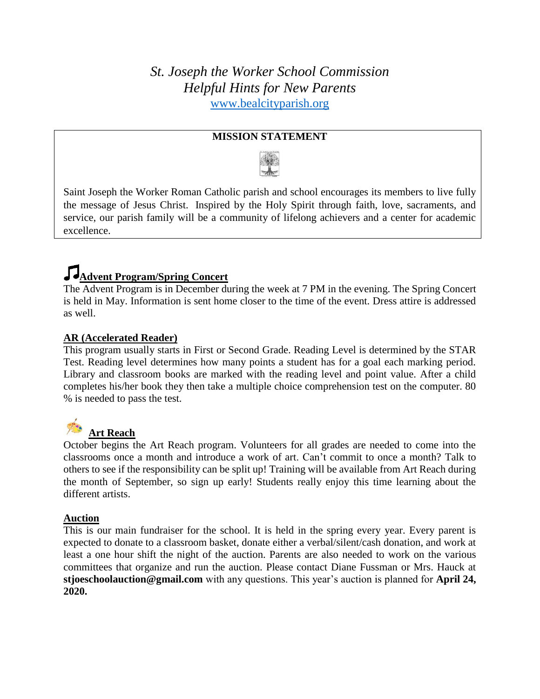*St. Joseph the Worker School Commission Helpful Hints for New Parents* [www.bealcityparish.org](http://www.bealcityparish.org/)

#### **MISSION STATEMENT**



Saint Joseph the Worker Roman Catholic parish and school encourages its members to live fully the message of Jesus Christ. Inspired by the Holy Spirit through faith, love, sacraments, and service, our parish family will be a community of lifelong achievers and a center for academic excellence.

### **Advent Program/Spring Concert**

The Advent Program is in December during the week at 7 PM in the evening. The Spring Concert is held in May. Information is sent home closer to the time of the event. Dress attire is addressed as well.

#### **AR (Accelerated Reader)**

This program usually starts in First or Second Grade. Reading Level is determined by the STAR Test. Reading level determines how many points a student has for a goal each marking period. Library and classroom books are marked with the reading level and point value. After a child completes his/her book they then take a multiple choice comprehension test on the computer. 80 % is needed to pass the test.

# **Art Reach**

October begins the Art Reach program. Volunteers for all grades are needed to come into the classrooms once a month and introduce a work of art. Can't commit to once a month? Talk to others to see if the responsibility can be split up! Training will be available from Art Reach during the month of September, so sign up early! Students really enjoy this time learning about the different artists.

#### **Auction**

This is our main fundraiser for the school. It is held in the spring every year. Every parent is expected to donate to a classroom basket, donate either a verbal/silent/cash donation, and work at least a one hour shift the night of the auction. Parents are also needed to work on the various committees that organize and run the auction. Please contact Diane Fussman or Mrs. Hauck at **stjoeschoolauction@gmail.com** with any questions. This year's auction is planned for **April 24, 2020.**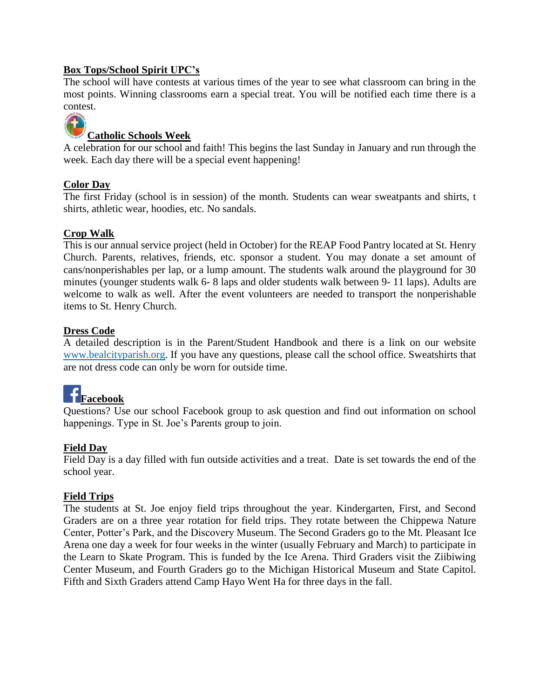#### **Box Tops/School Spirit UPC's**

The school will have contests at various times of the year to see what classroom can bring in the most points. Winning classrooms earn a special treat. You will be notified each time there is a contest.



#### **Catholic Schools Week**

A celebration for our school and faith! This begins the last Sunday in January and run through the week. Each day there will be a special event happening!

#### **Color Day**

The first Friday (school is in session) of the month. Students can wear sweatpants and shirts, t shirts, athletic wear, hoodies, etc. No sandals.

#### **Crop Walk**

This is our annual service project (held in October) for the REAP Food Pantry located at St. Henry Church. Parents, relatives, friends, etc. sponsor a student. You may donate a set amount of cans/nonperishables per lap, or a lump amount. The students walk around the playground for 30 minutes (younger students walk 6- 8 laps and older students walk between 9- 11 laps). Adults are welcome to walk as well. After the event volunteers are needed to transport the nonperishable items to St. Henry Church.

#### **Dress Code**

A detailed description is in the Parent/Student Handbook and there is a link on our website [www.bealcityparish.org.](http://www.bealcityparish.org/) If you have any questions, please call the school office. Sweatshirts that are not dress code can only be worn for outside time.



Questions? Use our school Facebook group to ask question and find out information on school happenings. Type in St. Joe's Parents group to join.

#### **Field Day**

Field Day is a day filled with fun outside activities and a treat. Date is set towards the end of the school year.

#### **Field Trips**

The students at St. Joe enjoy field trips throughout the year. Kindergarten, First, and Second Graders are on a three year rotation for field trips. They rotate between the Chippewa Nature Center, Potter's Park, and the Discovery Museum. The Second Graders go to the Mt. Pleasant Ice Arena one day a week for four weeks in the winter (usually February and March) to participate in the Learn to Skate Program. This is funded by the Ice Arena. Third Graders visit the Ziibiwing Center Museum, and Fourth Graders go to the Michigan Historical Museum and State Capitol. Fifth and Sixth Graders attend Camp Hayo Went Ha for three days in the fall.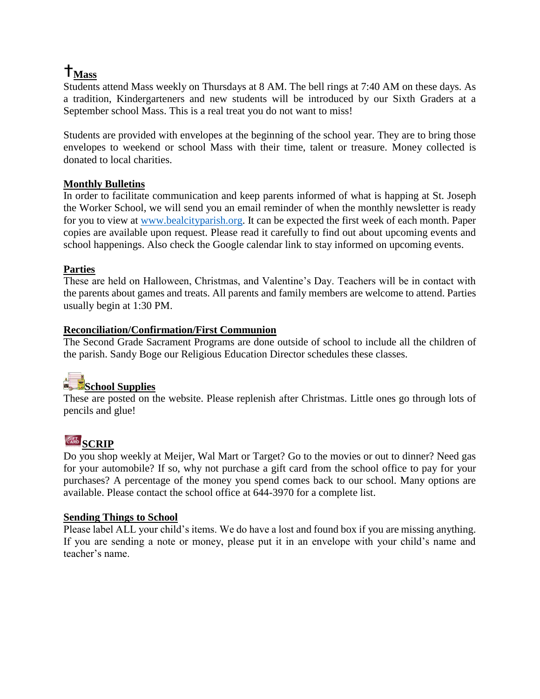## $T_{Mass}$

Students attend Mass weekly on Thursdays at 8 AM. The bell rings at 7:40 AM on these days. As a tradition, Kindergarteners and new students will be introduced by our Sixth Graders at a September school Mass. This is a real treat you do not want to miss!

Students are provided with envelopes at the beginning of the school year. They are to bring those envelopes to weekend or school Mass with their time, talent or treasure. Money collected is donated to local charities.

#### **Monthly Bulletins**

In order to facilitate communication and keep parents informed of what is happing at St. Joseph the Worker School, we will send you an email reminder of when the monthly newsletter is ready for you to view at [www.bealcityparish.org.](http://www.bealcityparish.org/) It can be expected the first week of each month. Paper copies are available upon request. Please read it carefully to find out about upcoming events and school happenings. Also check the Google calendar link to stay informed on upcoming events.

#### **Parties**

These are held on Halloween, Christmas, and Valentine's Day. Teachers will be in contact with the parents about games and treats. All parents and family members are welcome to attend. Parties usually begin at 1:30 PM.

#### **Reconciliation/Confirmation/First Communion**

The Second Grade Sacrament Programs are done outside of school to include all the children of the parish. Sandy Boge our Religious Education Director schedules these classes.

## **School Supplies**

These are posted on the website. Please replenish after Christmas. Little ones go through lots of pencils and glue!

### $\frac{\text{C}}{\text{CARD}}$  **SCRIP**

Do you shop weekly at Meijer, Wal Mart or Target? Go to the movies or out to dinner? Need gas for your automobile? If so, why not purchase a gift card from the school office to pay for your purchases? A percentage of the money you spend comes back to our school. Many options are available. Please contact the school office at 644-3970 for a complete list.

#### **Sending Things to School**

Please label ALL your child's items. We do have a lost and found box if you are missing anything. If you are sending a note or money, please put it in an envelope with your child's name and teacher's name.